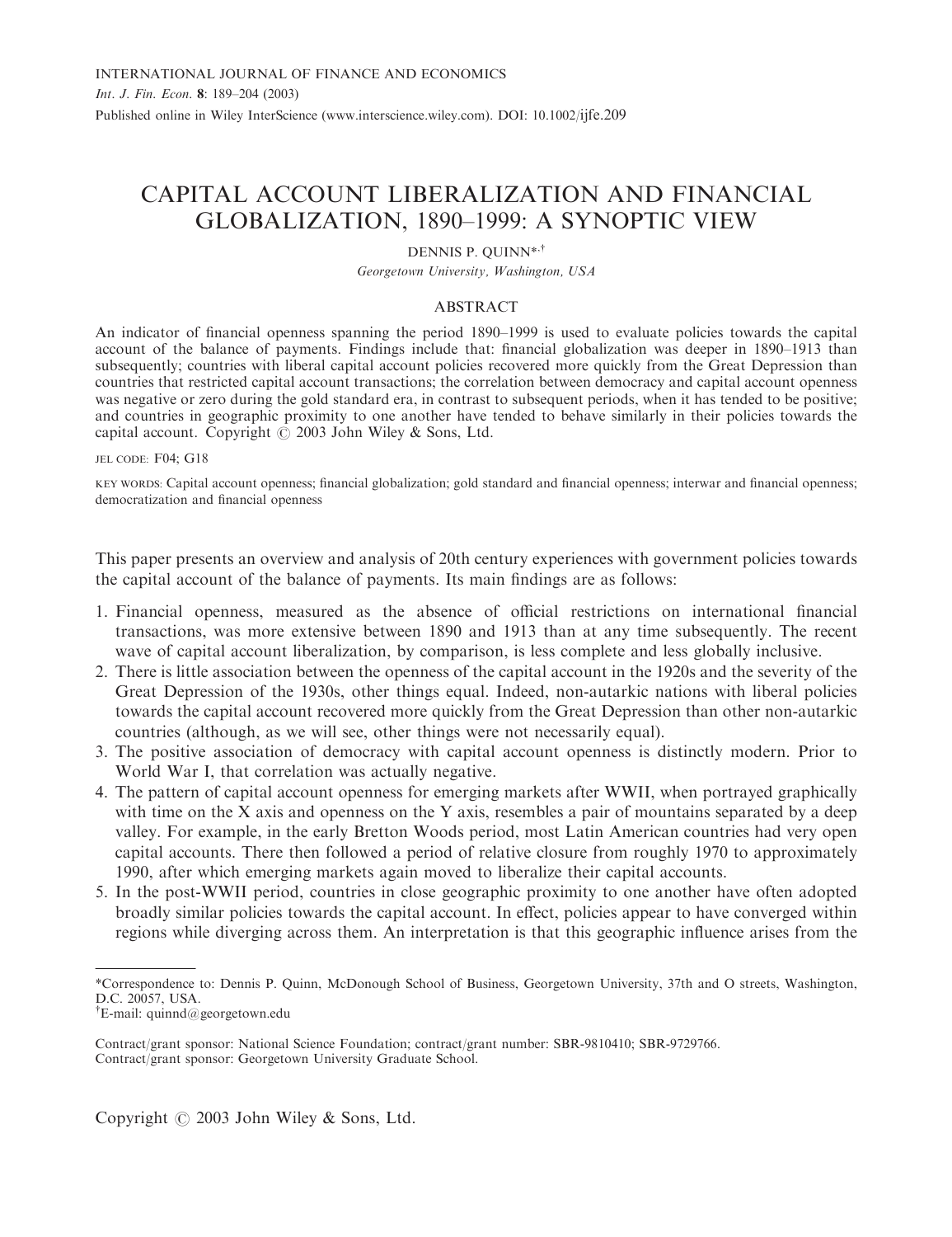# CAPITAL ACCOUNT LIBERALIZATION AND FINANCIAL GLOBALIZATION, 1890–1999: A SYNOPTIC VIEW

## DENNIS P. QUINN<sup>\*,†</sup>

Georgetown University, Washington, USA

# ABSTRACT

An indicator of financial openness spanning the period 1890–1999 is used to evaluate policies towards the capital account of the balance of payments. Findings include that: financial globalization was deeper in 1890–1913 than subsequently; countries with liberal capital account policies recovered more quickly from the Great Depression than countries that restricted capital account transactions; the correlation between democracy and capital account openness was negative or zero during the gold standard era, in contrast to subsequent periods, when it has tended to be positive; and countries in geographic proximity to one another have tended to behave similarly in their policies towards the capital account. Copyright  $\odot$  2003 John Wiley & Sons, Ltd.

JEL CODE: F04; G18

KEY WORDS: Capital account openness; financial globalization; gold standard and financial openness; interwar and financial openness; democratization and financial openness

This paper presents an overview and analysis of 20th century experiences with government policies towards the capital account of the balance of payments. Its main findings are as follows:

- 1. Financial openness, measured as the absence of official restrictions on international financial transactions, was more extensive between 1890 and 1913 than at any time subsequently. The recent wave of capital account liberalization, by comparison, is less complete and less globally inclusive.
- 2. There is little association between the openness of the capital account in the 1920s and the severity of the Great Depression of the 1930s, other things equal. Indeed, non-autarkic nations with liberal policies towards the capital account recovered more quickly from the Great Depression than other non-autarkic countries (although, as we will see, other things were not necessarily equal).
- 3. The positive association of democracy with capital account openness is distinctly modern. Prior to World War I, that correlation was actually negative.
- 4. The pattern of capital account openness for emerging markets after WWII, when portrayed graphically with time on the X axis and openness on the Y axis, resembles a pair of mountains separated by a deep valley. For example, in the early Bretton Woods period, most Latin American countries had very open capital accounts. There then followed a period of relative closure from roughly 1970 to approximately 1990, after which emerging markets again moved to liberalize their capital accounts.
- 5. In the post-WWII period, countries in close geographic proximity to one another have often adopted broadly similar policies towards the capital account. In effect, policies appear to have converged within regions while diverging across them. An interpretation is that this geographic influence arises from the

<sup>\*</sup>Correspondence to: Dennis P. Quinn, McDonough School of Business, Georgetown University, 37th and O streets, Washington, D.C. 20057, USA.

y E-mail: quinnd@georgetown.edu

Contract/grant sponsor: National Science Foundation; contract/grant number: SBR-9810410; SBR-9729766. Contract/grant sponsor: Georgetown University Graduate School.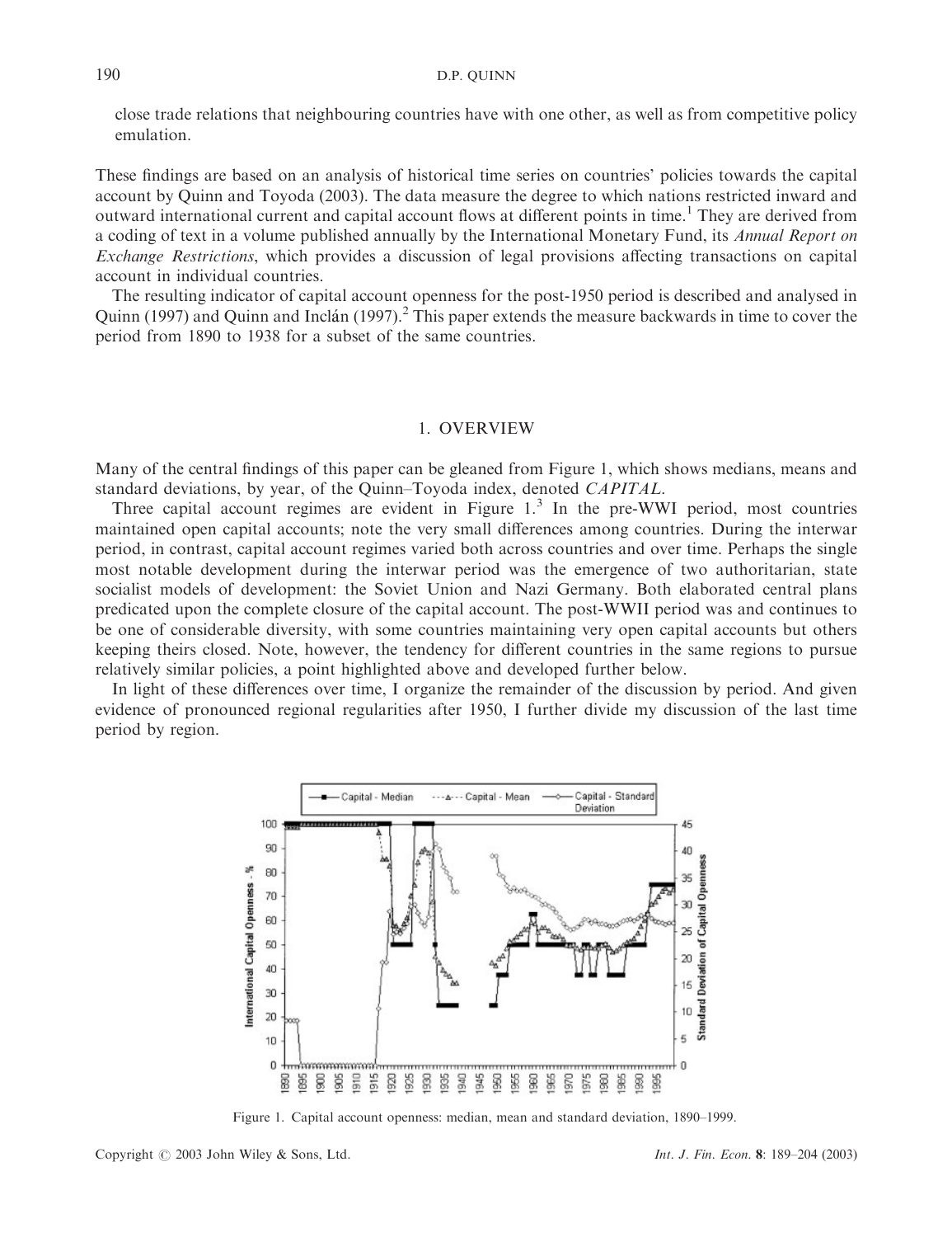close trade relations that neighbouring countries have with one other, as well as from competitive policy emulation.

These findings are based on an analysis of historical time series on countries' policies towards the capital account by Quinn and Toyoda (2003). The data measure the degree to which nations restricted inward and outward international current and capital account flows at different points in time.<sup>1</sup> They are derived from a coding of text in a volume published annually by the International Monetary Fund, its Annual Report on Exchange Restrictions, which provides a discussion of legal provisions affecting transactions on capital account in individual countries.

The resulting indicator of capital account openness for the post-1950 period is described and analysed in Quinn (1997) and Quinn and Inclan (1997).<sup>2</sup> This paper extends the measure backwards in time to cover the period from 1890 to 1938 for a subset of the same countries.

## 1. OVERVIEW

Many of the central findings of this paper can be gleaned from Figure 1, which shows medians, means and standard deviations, by year, of the Quinn–Toyoda index, denoted CAPITAL.

Three capital account regimes are evident in Figure  $1<sup>3</sup>$  In the pre-WWI period, most countries maintained open capital accounts; note the very small differences among countries. During the interwar period, in contrast, capital account regimes varied both across countries and over time. Perhaps the single most notable development during the interwar period was the emergence of two authoritarian, state socialist models of development: the Soviet Union and Nazi Germany. Both elaborated central plans predicated upon the complete closure of the capital account. The post-WWII period was and continues to be one of considerable diversity, with some countries maintaining very open capital accounts but others keeping theirs closed. Note, however, the tendency for different countries in the same regions to pursue relatively similar policies, a point highlighted above and developed further below.

In light of these differences over time, I organize the remainder of the discussion by period. And given evidence of pronounced regional regularities after 1950, I further divide my discussion of the last time period by region.



Figure 1. Capital account openness: median, mean and standard deviation, 1890–1999.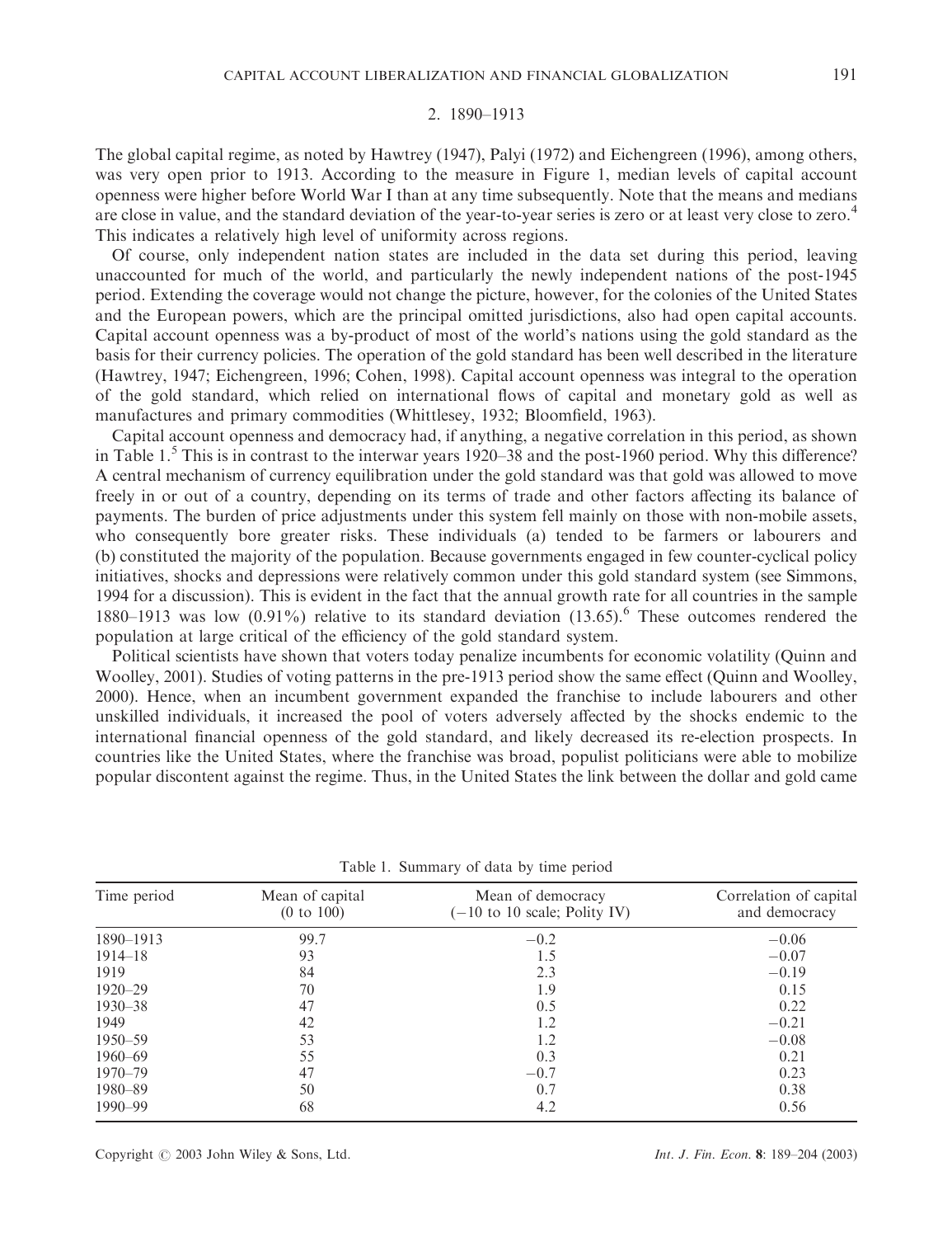# 2. 1890–1913

The global capital regime, as noted by Hawtrey (1947), Palyi (1972) and Eichengreen (1996), among others, was very open prior to 1913. According to the measure in Figure 1, median levels of capital account openness were higher before World War I than at any time subsequently. Note that the means and medians are close in value, and the standard deviation of the year-to-year series is zero or at least very close to zero.<sup>4</sup> This indicates a relatively high level of uniformity across regions.

Of course, only independent nation states are included in the data set during this period, leaving unaccounted for much of the world, and particularly the newly independent nations of the post-1945 period. Extending the coverage would not change the picture, however, for the colonies of the United States and the European powers, which are the principal omitted jurisdictions, also had open capital accounts. Capital account openness was a by-product of most of the world's nations using the gold standard as the basis for their currency policies. The operation of the gold standard has been well described in the literature (Hawtrey, 1947; Eichengreen, 1996; Cohen, 1998). Capital account openness was integral to the operation of the gold standard, which relied on international flows of capital and monetary gold as well as manufactures and primary commodities (Whittlesey, 1932; Bloomfield, 1963).

Capital account openness and democracy had, if anything, a negative correlation in this period, as shown in Table  $1.5$  This is in contrast to the interwar years 1920–38 and the post-1960 period. Why this difference? A central mechanism of currency equilibration under the gold standard was that gold was allowed to move freely in or out of a country, depending on its terms of trade and other factors affecting its balance of payments. The burden of price adjustments under this system fell mainly on those with non-mobile assets, who consequently bore greater risks. These individuals (a) tended to be farmers or labourers and (b) constituted the majority of the population. Because governments engaged in few counter-cyclical policy initiatives, shocks and depressions were relatively common under this gold standard system (see Simmons, 1994 for a discussion). This is evident in the fact that the annual growth rate for all countries in the sample 1880–1913 was low  $(0.91\%)$  relative to its standard deviation  $(13.65)$ . These outcomes rendered the population at large critical of the efficiency of the gold standard system.

Political scientists have shown that voters today penalize incumbents for economic volatility (Quinn and Woolley, 2001). Studies of voting patterns in the pre-1913 period show the same effect (Quinn and Woolley, 2000). Hence, when an incumbent government expanded the franchise to include labourers and other unskilled individuals, it increased the pool of voters adversely affected by the shocks endemic to the international financial openness of the gold standard, and likely decreased its re-election prospects. In countries like the United States, where the franchise was broad, populist politicians were able to mobilize popular discontent against the regime. Thus, in the United States the link between the dollar and gold came

| Time period | Mean of capital<br>(0 to 100) | Mean of democracy<br>$(-10 \text{ to } 10 \text{ scale};$ Polity IV) | Correlation of capital<br>and democracy |  |  |
|-------------|-------------------------------|----------------------------------------------------------------------|-----------------------------------------|--|--|
| 1890-1913   | 99.7                          | $-0.2$                                                               | $-0.06$                                 |  |  |
| $1914 - 18$ | 93                            | 1.5                                                                  | $-0.07$                                 |  |  |
| 1919        | 84                            | 2.3                                                                  | $-0.19$                                 |  |  |
| $1920 - 29$ | 70                            | 1.9                                                                  | 0.15                                    |  |  |
| $1930 - 38$ | 47                            | 0.5                                                                  | 0.22                                    |  |  |
| 1949        | 42                            | 1.2                                                                  | $-0.21$                                 |  |  |
| $1950 - 59$ | 53                            | 1.2                                                                  | $-0.08$                                 |  |  |
| $1960 - 69$ | 55                            | 0.3                                                                  | 0.21                                    |  |  |
| $1970 - 79$ | 47                            | $-0.7$                                                               | 0.23                                    |  |  |
| 1980–89     | 50                            | 0.7                                                                  | 0.38                                    |  |  |
| $1990 - 99$ | 68                            | 4.2                                                                  | 0.56                                    |  |  |
|             |                               |                                                                      |                                         |  |  |

Table 1. Summary of data by time period

Copyright © 2003 John Wiley & Sons, Ltd. Int. J. Fin. Econ. 8: 189–204 (2003)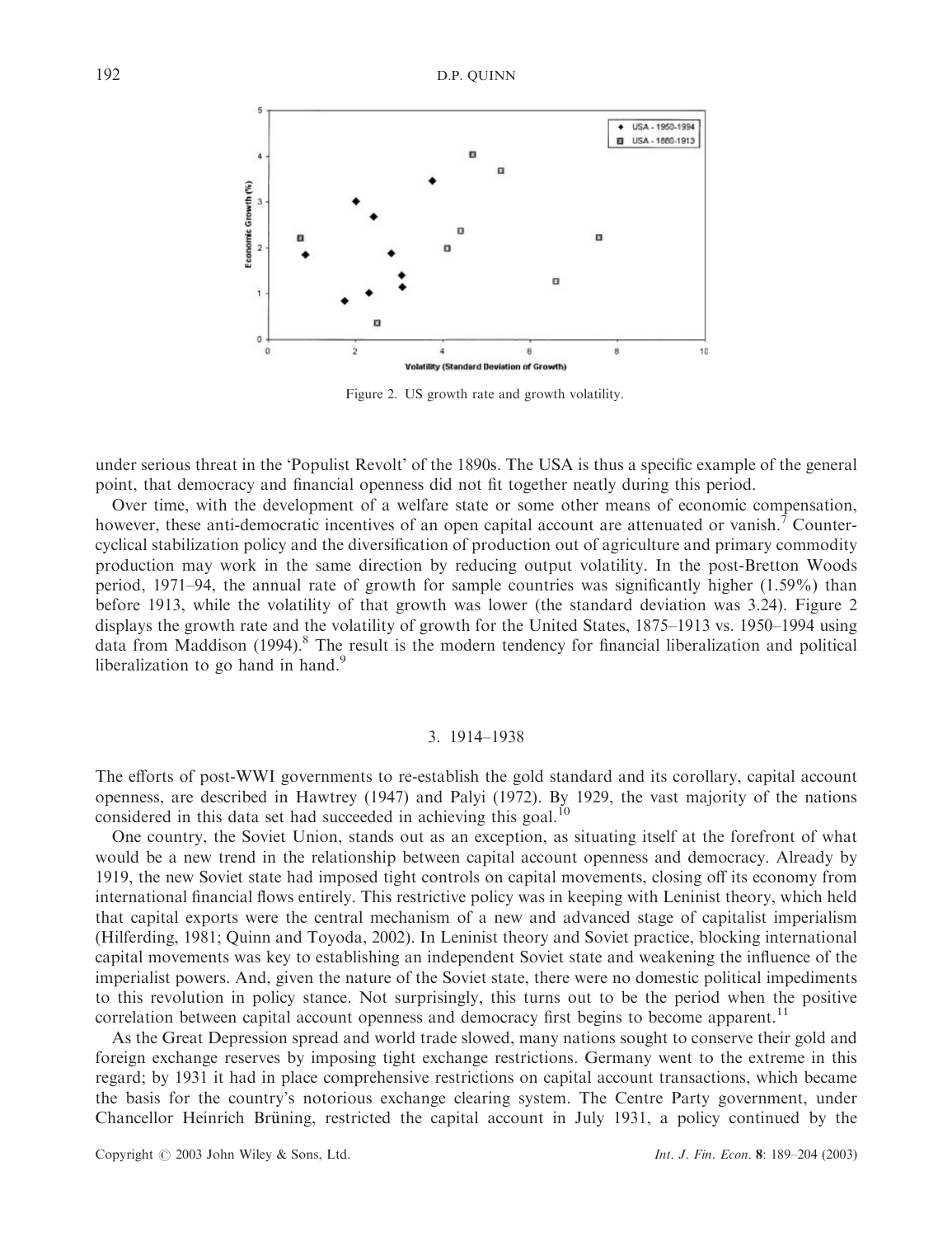

Figure 2. US growth rate and growth volatility.

under serious threat in the 'Populist Revolt' of the 1890s. The USA is thus a specific example of the general point, that democracy and financial openness did not fit together neatly during this period.

Over time, with the development of a welfare state or some other means of economic compensation, however, these anti-democratic incentives of an open capital account are attenuated or vanish.<sup>7</sup> Countercyclical stabilization policy and the diversification of production out of agriculture and primary commodity production may work in the same direction by reducing output volatility. In the post-Bretton Woods period, 1971–94, the annual rate of growth for sample countries was significantly higher (1.59%) than before 1913, while the volatility of that growth was lower (the standard deviation was 3.24). Figure 2 displays the growth rate and the volatility of growth for the United States, 1875–1913 vs. 1950–1994 using data from Maddison  $(1994)$ .<sup>8</sup> The result is the modern tendency for financial liberalization and political liberalization to go hand in hand.<sup>9</sup>

### 3. 1914–1938

The efforts of post-WWI governments to re-establish the gold standard and its corollary, capital account openness, are described in Hawtrey (1947) and Palyi (1972). By 1929, the vast majority of the nations considered in this data set had succeeded in achieving this goal.<sup>10</sup>

One country, the Soviet Union, stands out as an exception, as situating itself at the forefront of what would be a new trend in the relationship between capital account openness and democracy. Already by 1919, the new Soviet state had imposed tight controls on capital movements, closing off its economy from international financial flows entirely. This restrictive policy was in keeping with Leninist theory, which held that capital exports were the central mechanism of a new and advanced stage of capitalist imperialism (Hilferding, 1981; Quinn and Toyoda, 2002). In Leninist theory and Soviet practice, blocking international capital movements was key to establishing an independent Soviet state and weakening the influence of the imperialist powers. And, given the nature of the Soviet state, there were no domestic political impediments to this revolution in policy stance. Not surprisingly, this turns out to be the period when the positive correlation between capital account openness and democracy first begins to become apparent.<sup>11</sup>

As the Great Depression spread and world trade slowed, many nations sought to conserve their gold and foreign exchange reserves by imposing tight exchange restrictions. Germany went to the extreme in this regard; by 1931 it had in place comprehensive restrictions on capital account transactions, which became the basis for the country's notorious exchange clearing system. The Centre Party government, under Chancellor Heinrich Bruning, restricted the capital account in July 1931, a policy continued by the .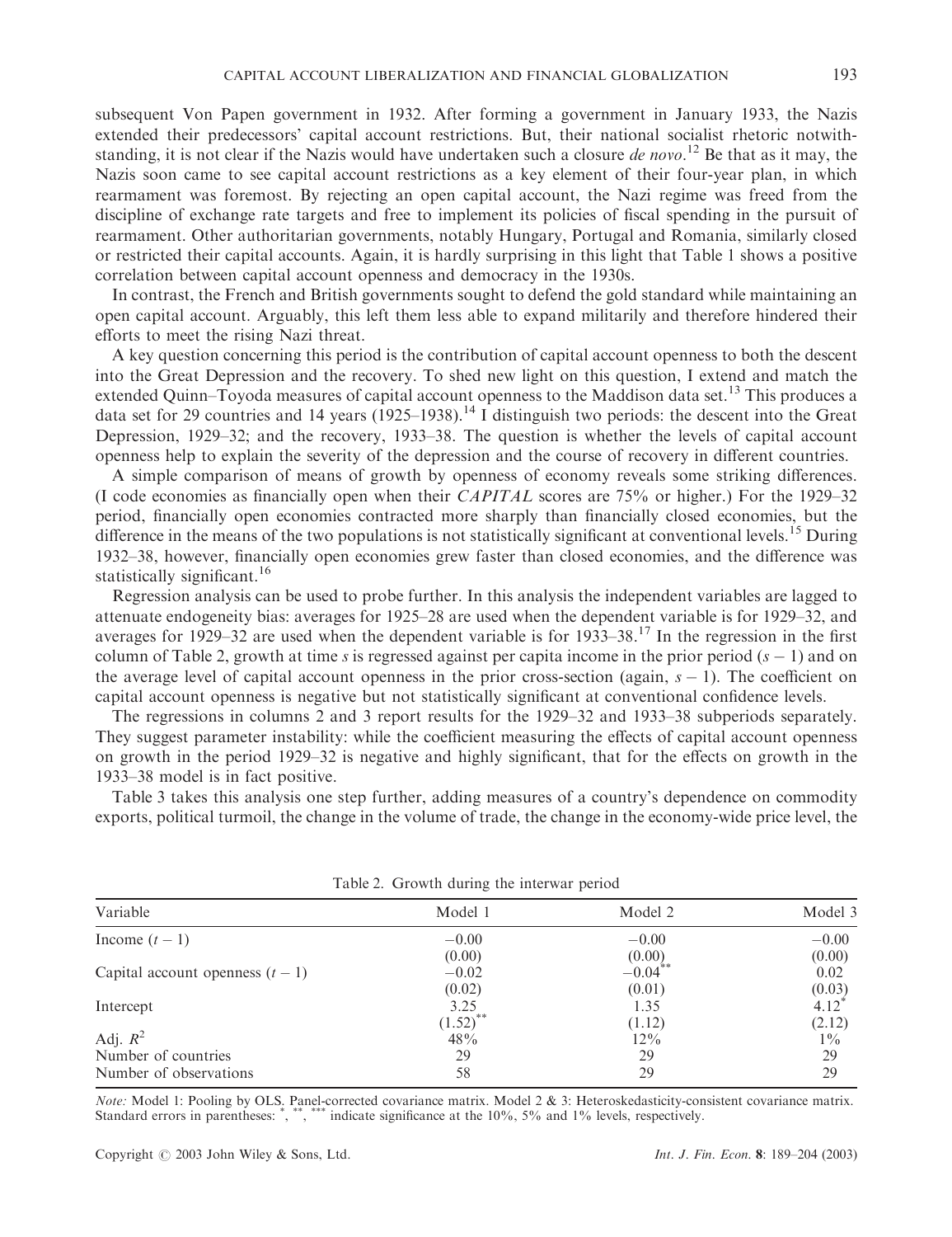Nazis soon came to see capital account restrictions as a key element of their four-year plan, in which rearmament was foremost. By rejecting an open capital account, the Nazi regime was freed from the discipline of exchange rate targets and free to implement its policies of fiscal spending in the pursuit of rearmament. Other authoritarian governments, notably Hungary, Portugal and Romania, similarly closed or restricted their capital accounts. Again, it is hardly surprising in this light that Table 1 shows a positive correlation between capital account openness and democracy in the 1930s.

In contrast, the French and British governments sought to defend the gold standard while maintaining an open capital account. Arguably, this left them less able to expand militarily and therefore hindered their efforts to meet the rising Nazi threat.

A key question concerning this period is the contribution of capital account openness to both the descent into the Great Depression and the recovery. To shed new light on this question, I extend and match the extended Quinn–Toyoda measures of capital account openness to the Maddison data set.<sup>13</sup> This produces a data set for 29 countries and 14 years (1925–1938).<sup>14</sup> I distinguish two periods: the descent into the Great Depression, 1929–32; and the recovery, 1933–38. The question is whether the levels of capital account openness help to explain the severity of the depression and the course of recovery in different countries.

A simple comparison of means of growth by openness of economy reveals some striking differences. (I code economies as financially open when their CAPITAL scores are 75% or higher.) For the 1929–32 period, financially open economies contracted more sharply than financially closed economies, but the difference in the means of the two populations is not statistically significant at conventional levels.<sup>15</sup> During 1932–38, however, financially open economies grew faster than closed economies, and the difference was statistically significant.<sup>16</sup>

Regression analysis can be used to probe further. In this analysis the independent variables are lagged to attenuate endogeneity bias: averages for 1925–28 are used when the dependent variable is for 1929–32, and averages for 1929–32 are used when the dependent variable is for  $1933-38$ .<sup>17</sup> In the regression in the first column of Table 2, growth at time s is regressed against per capita income in the prior period  $(s - 1)$  and on the average level of capital account openness in the prior cross-section (again,  $s - 1$ ). The coefficient on capital account openness is negative but not statistically significant at conventional confidence levels.

The regressions in columns 2 and 3 report results for the 1929–32 and 1933–38 subperiods separately. They suggest parameter instability: while the coefficient measuring the effects of capital account openness on growth in the period 1929–32 is negative and highly significant, that for the effects on growth in the 1933–38 model is in fact positive.

Table 3 takes this analysis one step further, adding measures of a country's dependence on commodity exports, political turmoil, the change in the volume of trade, the change in the economy-wide price level, the

| Model 1 | Model 2 | Model 3                         |  |  |  |  |  |
|---------|---------|---------------------------------|--|--|--|--|--|
| $-0.00$ | $-0.00$ | $-0.00$                         |  |  |  |  |  |
| (0.00)  |         | (0.00)                          |  |  |  |  |  |
| $-0.02$ |         | 0.02                            |  |  |  |  |  |
| (0.02)  | (0.01)  |                                 |  |  |  |  |  |
| 3.25    | 1.35    | $(0.03)$<br>4.12 <sup>*</sup>   |  |  |  |  |  |
|         | (1.12)  | (2.12)                          |  |  |  |  |  |
| 48%     | $12\%$  | $1\%$                           |  |  |  |  |  |
| 29      | 29      | 29                              |  |  |  |  |  |
| 58      | 29      | 29                              |  |  |  |  |  |
|         | (1.52)  | $(0.00)$<br>-0.04 <sup>**</sup> |  |  |  |  |  |

Table 2. Growth during the interwar period

Note: Model 1: Pooling by OLS. Panel-corrected covariance matrix. Model 2 & 3: Heteroskedasticity-consistent covariance matrix. Standard errors in parentheses: ", "\*, \*\*\*\* indicate significance at the 10%, 5% and 1% levels, respectively.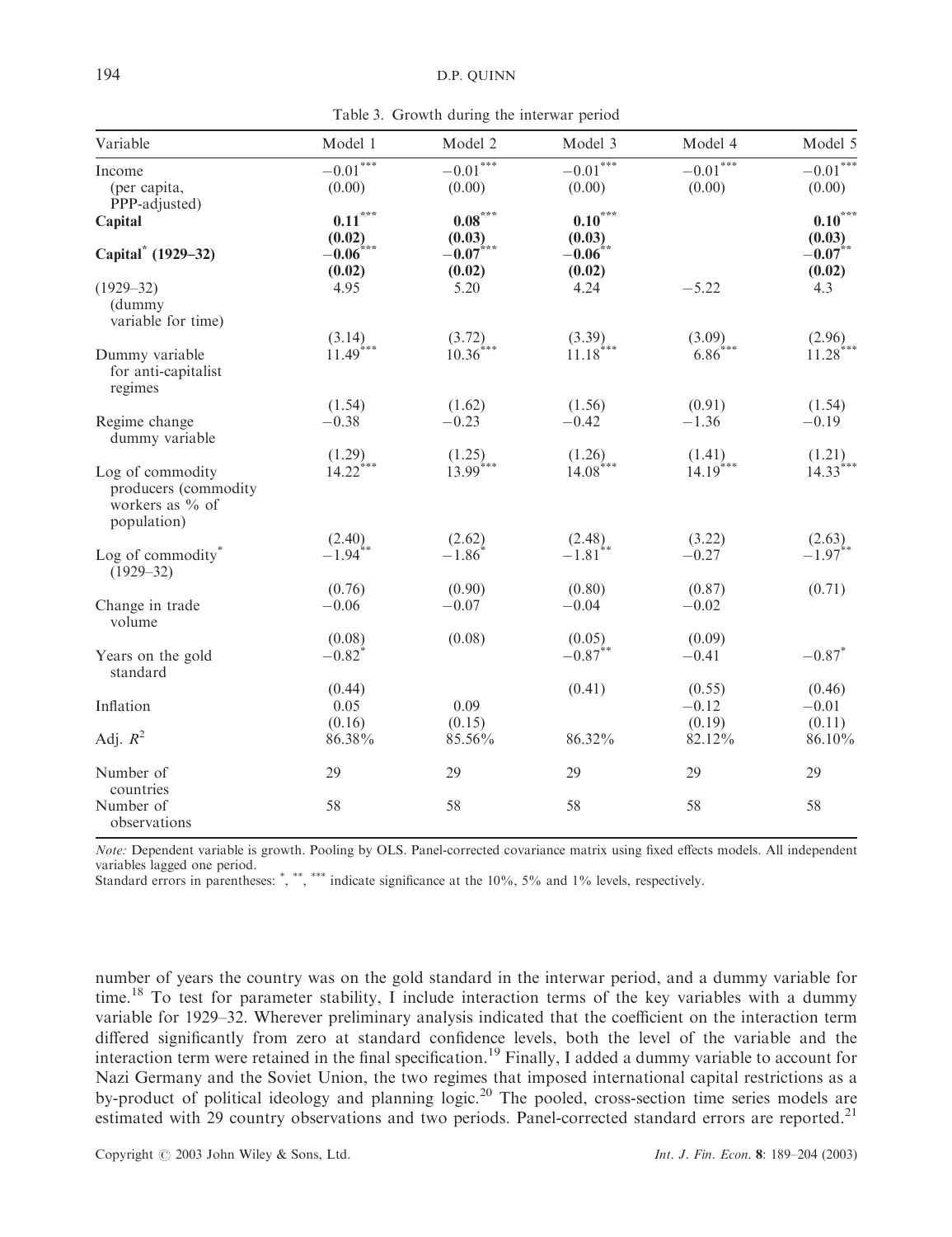Table 3. Growth during the interwar period

| Variable                                                                   | Model 1                                    | Model 2                                  | Model 3                                   | Model 4                          | Model 5                         |
|----------------------------------------------------------------------------|--------------------------------------------|------------------------------------------|-------------------------------------------|----------------------------------|---------------------------------|
| Income                                                                     | $-0.01^{*\!-\!*\!-\!*}$                    | $-0.01^{\overline{***}}$                 | $-0.01***$                                | $-0.01***$                       | $-0.01***$                      |
| (per capita,                                                               | (0.00)                                     | (0.00)                                   | (0.00)                                    | (0.00)                           | (0.00)                          |
| PPP-adjusted)<br>Capital                                                   | $0.11***$                                  | $\textbf{0.08}^{\ast\ast\ast}$<br>(0.03) | $0.10^{\ast\ast\ast}$                     |                                  | $0.10***$<br>(0.03)             |
| Capital <sup>*</sup> (1929–32)                                             | $(0.02)$<br>-0.06 <sup>***</sup><br>(0.02) | $-0.07$ ***<br>(0.02)                    | $(0.03)$<br>-0.06 <sup>**</sup><br>(0.02) |                                  | $-0.07$ **<br>(0.02)            |
| $(1929 - 32)$<br>(dummy<br>variable for time)                              | 4.95                                       | 5.20                                     | 4.24                                      | $-5.22$                          | 4.3                             |
| Dummy variable<br>for anti-capitalist<br>regimes                           | $(3.14)$<br>11.49 <sup>***</sup>           | $(3.72)$<br>10.36 <sup>***</sup>         | $(3.39)$<br>11.18 <sup>***</sup>          | $(3.09)$<br>6.86 <sup>***</sup>  | $(2.96)$<br>11.28 <sup>**</sup> |
|                                                                            | (1.54)                                     | (1.62)                                   | (1.56)                                    | (0.91)                           | (1.54)                          |
| Regime change<br>dummy variable                                            | $-0.38$                                    | $-0.23$                                  | $-0.42$                                   | $-1.36$                          | $-0.19$                         |
| Log of commodity<br>producers (commodity<br>workers as % of<br>population) | $(1.29)$<br>14.22***                       | $(1.25)$<br>13.99***                     | $(1.26)$<br>14.08 <sup>***</sup>          | $(1.41)$<br>14.19 <sup>***</sup> | $(1.21)$<br>14.33***            |
| Log of commodity*<br>$(1929 - 32)$                                         | $(2.40)$<br>-1.94 <sup>**</sup>            | (2.62)<br>$-1.86$                        | $(2.48)$<br>-1.81**                       | (3.22)<br>$-0.27$                | $(2.63)$<br>-1.97 <sup>**</sup> |
| Change in trade<br>volume                                                  | (0.76)<br>$-0.06$                          | (0.90)<br>$-0.07$                        | (0.80)<br>$-0.04$                         | (0.87)<br>$-0.02$                | (0.71)                          |
| Years on the gold<br>standard                                              | (0.08)<br>$-0.82$ <sup>*</sup>             | (0.08)                                   | (0.05)<br>$-0.87$ **                      | (0.09)<br>$-0.41$                | $-0.87$ <sup>*</sup>            |
| Inflation                                                                  | (0.44)<br>0.05                             | 0.09                                     | (0.41)                                    | (0.55)<br>$-0.12$                | (0.46)<br>$-0.01$               |
| Adj. $R^2$                                                                 | (0.16)<br>86.38%                           | (0.15)<br>85.56%                         | 86.32%                                    | (0.19)<br>82.12%                 | (0.11)<br>86.10%                |
| Number of<br>countries                                                     | 29                                         | 29                                       | 29                                        | 29                               | 29                              |
| Number of<br>observations                                                  | 58                                         | 58                                       | 58                                        | 58                               | 58                              |

Note: Dependent variable is growth. Pooling by OLS. Panel-corrected covariance matrix using fixed effects models. All independent variables lagged one period.

Standard errors in parentheses: ", "\*, \*\*\*\* indicate significance at the 10%, 5% and 1% levels, respectively.

number of years the country was on the gold standard in the interwar period, and a dummy variable for time.<sup>18</sup> To test for parameter stability, I include interaction terms of the key variables with a dummy variable for 1929–32. Wherever preliminary analysis indicated that the coefficient on the interaction term differed significantly from zero at standard confidence levels, both the level of the variable and the interaction term were retained in the final specification.<sup>19</sup> Finally, I added a dummy variable to account for Nazi Germany and the Soviet Union, the two regimes that imposed international capital restrictions as a by-product of political ideology and planning logic.<sup>20</sup> The pooled, cross-section time series models are estimated with 29 country observations and two periods. Panel-corrected standard errors are reported.<sup>21</sup>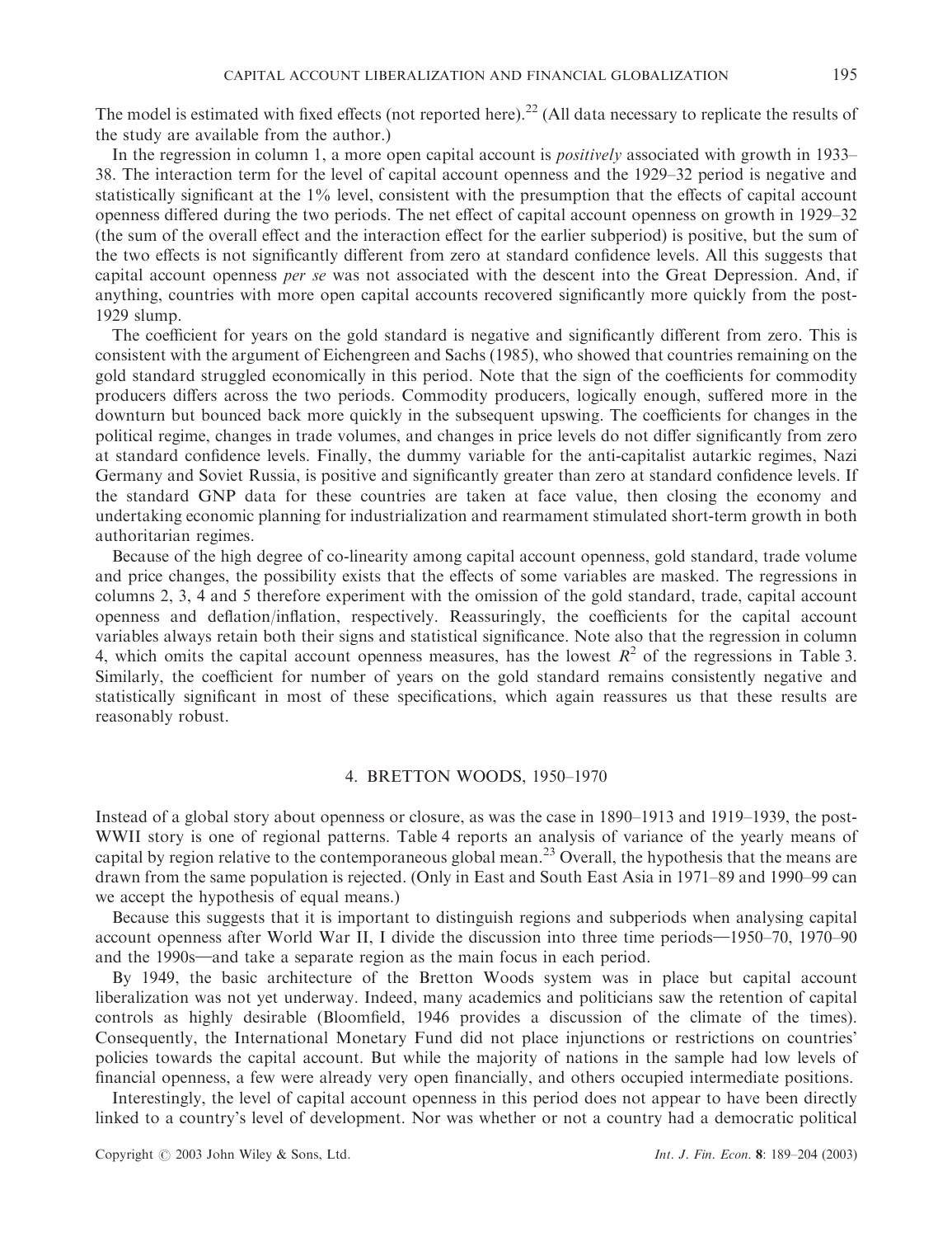The model is estimated with fixed effects (not reported here).<sup>22</sup> (All data necessary to replicate the results of the study are available from the author.)

In the regression in column 1, a more open capital account is *positively* associated with growth in 1933– 38. The interaction term for the level of capital account openness and the 1929–32 period is negative and statistically significant at the 1% level, consistent with the presumption that the effects of capital account openness differed during the two periods. The net effect of capital account openness on growth in 1929–32 (the sum of the overall effect and the interaction effect for the earlier subperiod) is positive, but the sum of the two effects is not significantly different from zero at standard confidence levels. All this suggests that capital account openness per se was not associated with the descent into the Great Depression. And, if anything, countries with more open capital accounts recovered significantly more quickly from the post-1929 slump.

The coefficient for years on the gold standard is negative and significantly different from zero. This is consistent with the argument of Eichengreen and Sachs (1985), who showed that countries remaining on the gold standard struggled economically in this period. Note that the sign of the coefficients for commodity producers differs across the two periods. Commodity producers, logically enough, suffered more in the downturn but bounced back more quickly in the subsequent upswing. The coefficients for changes in the political regime, changes in trade volumes, and changes in price levels do not differ significantly from zero at standard confidence levels. Finally, the dummy variable for the anti-capitalist autarkic regimes, Nazi Germany and Soviet Russia, is positive and significantly greater than zero at standard confidence levels. If the standard GNP data for these countries are taken at face value, then closing the economy and undertaking economic planning for industrialization and rearmament stimulated short-term growth in both authoritarian regimes.

Because of the high degree of co-linearity among capital account openness, gold standard, trade volume and price changes, the possibility exists that the effects of some variables are masked. The regressions in columns 2, 3, 4 and 5 therefore experiment with the omission of the gold standard, trade, capital account openness and deflation/inflation, respectively. Reassuringly, the coefficients for the capital account variables always retain both their signs and statistical significance. Note also that the regression in column 4, which omits the capital account openness measures, has the lowest  $R^2$  of the regressions in Table 3. Similarly, the coefficient for number of years on the gold standard remains consistently negative and statistically significant in most of these specifications, which again reassures us that these results are reasonably robust.

# 4. BRETTON WOODS, 1950–1970

Instead of a global story about openness or closure, as was the case in 1890–1913 and 1919–1939, the post-WWII story is one of regional patterns. Table 4 reports an analysis of variance of the yearly means of capital by region relative to the contemporaneous global mean.<sup>23</sup> Overall, the hypothesis that the means are drawn from the same population is rejected. (Only in East and South East Asia in 1971–89 and 1990–99 can we accept the hypothesis of equal means.)

Because this suggests that it is important to distinguish regions and subperiods when analysing capital account openness after World War II, I divide the discussion into three time periods—1950–70, 1970–90 and the 1990s—and take a separate region as the main focus in each period.

By 1949, the basic architecture of the Bretton Woods system was in place but capital account liberalization was not yet underway. Indeed, many academics and politicians saw the retention of capital controls as highly desirable (Bloomfield, 1946 provides a discussion of the climate of the times). Consequently, the International Monetary Fund did not place injunctions or restrictions on countries' policies towards the capital account. But while the majority of nations in the sample had low levels of financial openness, a few were already very open financially, and others occupied intermediate positions.

Interestingly, the level of capital account openness in this period does not appear to have been directly linked to a country's level of development. Nor was whether or not a country had a democratic political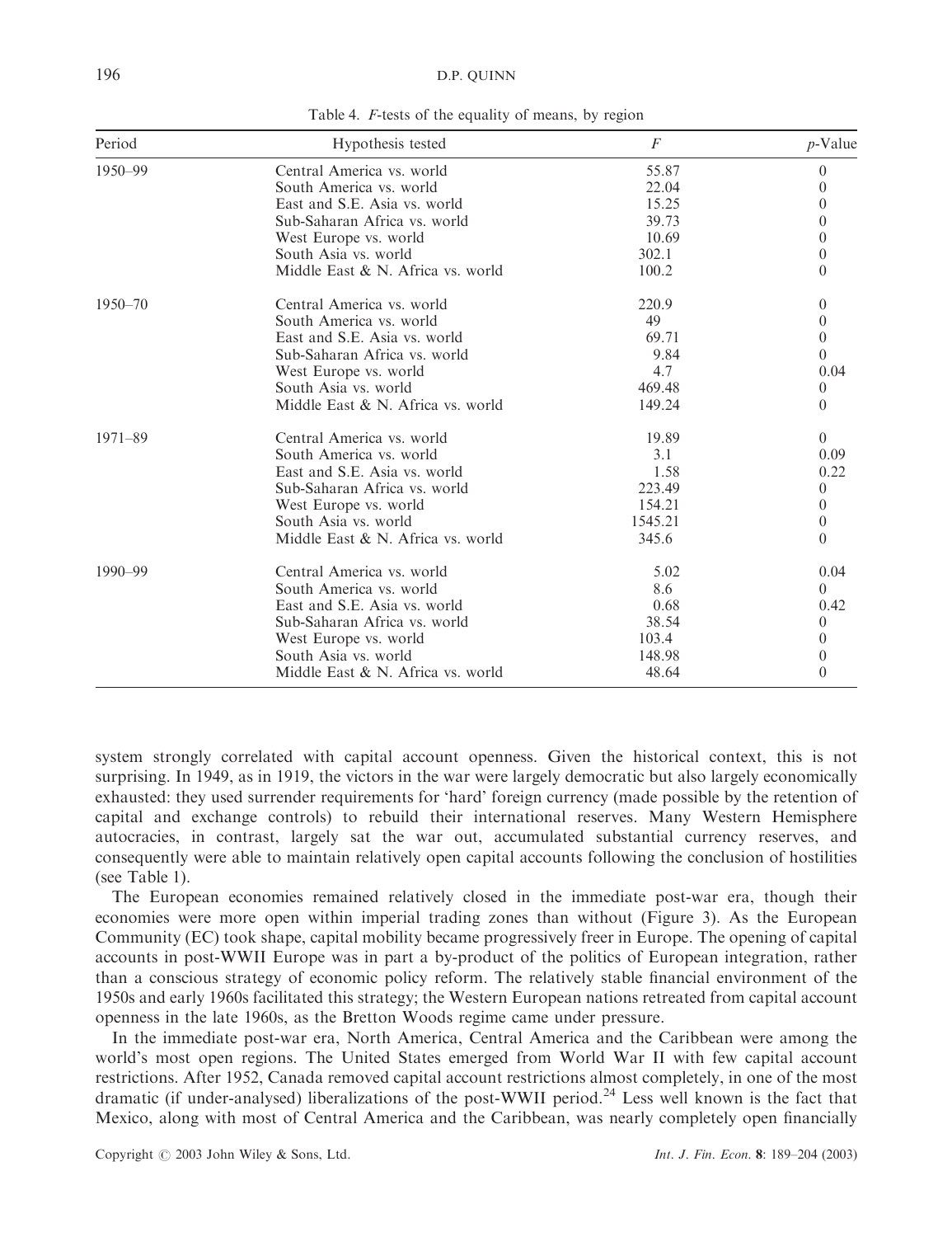| Period      | Hypothesis tested                 | $\overline{F}$ | $p$ -Value |
|-------------|-----------------------------------|----------------|------------|
| 1950-99     | Central America vs. world         | 55.87          | $\Omega$   |
|             | South America vs. world           | 22.04          | $\theta$   |
|             | East and S.E. Asia vs. world      | 15.25          | $\theta$   |
|             | Sub-Saharan Africa vs. world      | 39.73          | $\theta$   |
|             | West Europe vs. world             | 10.69          | $\theta$   |
|             | South Asia vs. world              | 302.1          | $\theta$   |
|             | Middle East & N. Africa vs. world | 100.2          | $\Omega$   |
| $1950 - 70$ | Central America vs. world         | 220.9          | $\theta$   |
|             | South America vs. world           | 49             | $\theta$   |
|             | East and S.E. Asia vs. world      | 69.71          | $\theta$   |
|             | Sub-Saharan Africa vs. world      | 9.84           | $\Omega$   |
|             | West Europe vs. world             | 4.7            | 0.04       |
|             | South Asia vs. world              | 469.48         | $\Omega$   |
|             | Middle East & N. Africa vs. world | 149.24         | $\Omega$   |
| $1971 - 89$ | Central America vs. world         | 19.89          | $\Omega$   |
|             | South America vs. world           | 3.1            | 0.09       |
|             | East and S.E. Asia vs. world      | 1.58           | 0.22       |
|             | Sub-Saharan Africa vs. world      | 223.49         | $\theta$   |
|             | West Europe vs. world             | 154.21         | $\theta$   |
|             | South Asia vs. world              | 1545.21        | $\theta$   |
|             | Middle East & N. Africa vs. world | 345.6          | $\Omega$   |
| $1990 - 99$ | Central America vs. world         | 5.02           | 0.04       |
|             | South America vs. world           | 8.6            | $\Omega$   |
|             | East and S.E. Asia vs. world      | 0.68           | 0.42       |
|             | Sub-Saharan Africa vs. world      | 38.54          | $\theta$   |
|             | West Europe vs. world             | 103.4          | $\theta$   |
|             | South Asia vs. world              | 148.98         | $\theta$   |
|             | Middle East & N. Africa vs. world | 48.64          | $\Omega$   |

Table 4. F-tests of the equality of means, by region

system strongly correlated with capital account openness. Given the historical context, this is not surprising. In 1949, as in 1919, the victors in the war were largely democratic but also largely economically exhausted: they used surrender requirements for 'hard' foreign currency (made possible by the retention of capital and exchange controls) to rebuild their international reserves. Many Western Hemisphere autocracies, in contrast, largely sat the war out, accumulated substantial currency reserves, and consequently were able to maintain relatively open capital accounts following the conclusion of hostilities (see Table 1).

The European economies remained relatively closed in the immediate post-war era, though their economies were more open within imperial trading zones than without (Figure 3). As the European Community (EC) took shape, capital mobility became progressively freer in Europe. The opening of capital accounts in post-WWII Europe was in part a by-product of the politics of European integration, rather than a conscious strategy of economic policy reform. The relatively stable financial environment of the 1950s and early 1960s facilitated this strategy; the Western European nations retreated from capital account openness in the late 1960s, as the Bretton Woods regime came under pressure.

In the immediate post-war era, North America, Central America and the Caribbean were among the world's most open regions. The United States emerged from World War II with few capital account restrictions. After 1952, Canada removed capital account restrictions almost completely, in one of the most dramatic (if under-analysed) liberalizations of the post-WWII period.<sup>24</sup> Less well known is the fact that Mexico, along with most of Central America and the Caribbean, was nearly completely open financially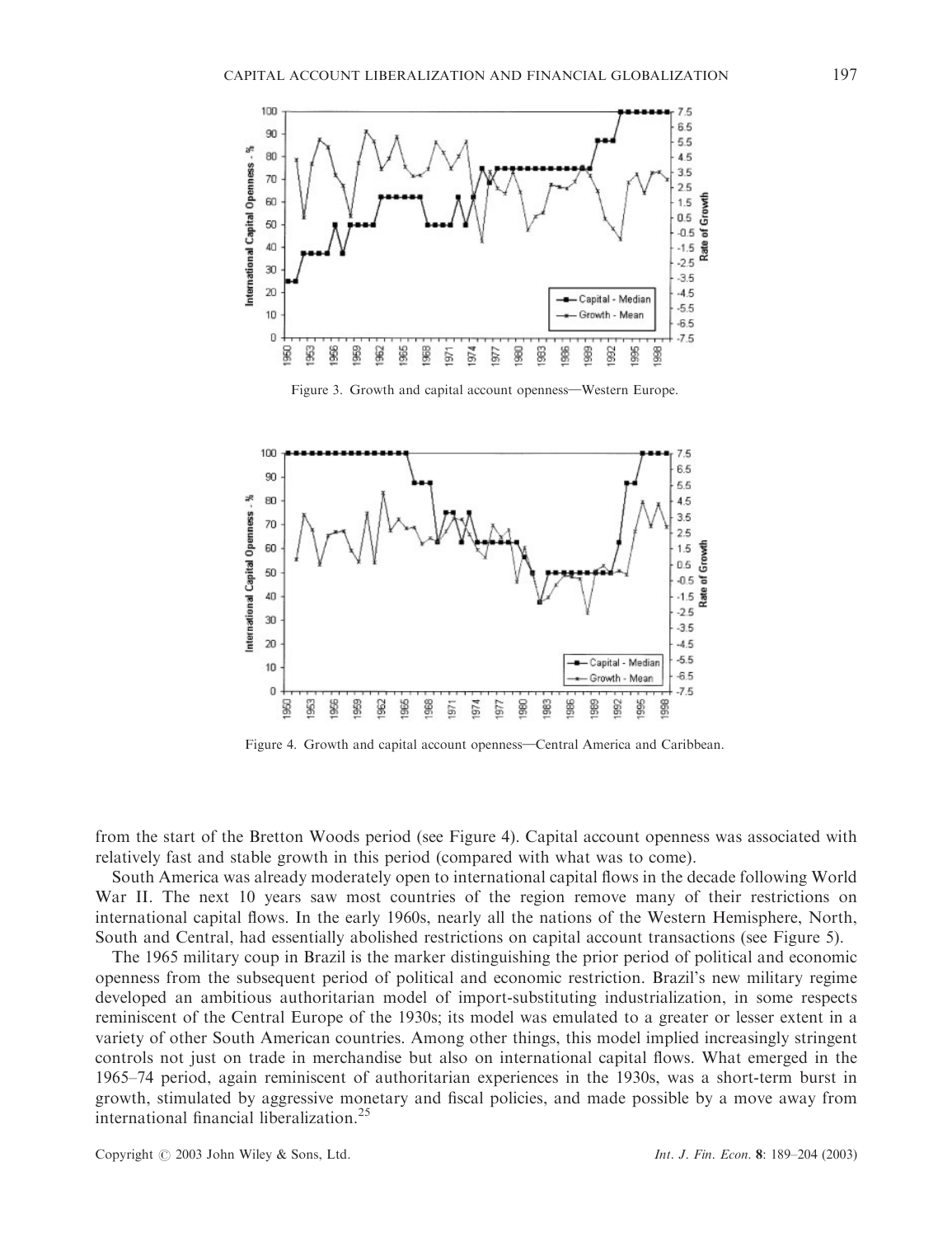

Figure 3. Growth and capital account openness—Western Europe.



Figure 4. Growth and capital account openness—Central America and Caribbean.

from the start of the Bretton Woods period (see Figure 4). Capital account openness was associated with relatively fast and stable growth in this period (compared with what was to come).

South America was already moderately open to international capital flows in the decade following World War II. The next 10 years saw most countries of the region remove many of their restrictions on international capital flows. In the early 1960s, nearly all the nations of the Western Hemisphere, North, South and Central, had essentially abolished restrictions on capital account transactions (see Figure 5).

The 1965 military coup in Brazil is the marker distinguishing the prior period of political and economic openness from the subsequent period of political and economic restriction. Brazil's new military regime developed an ambitious authoritarian model of import-substituting industrialization, in some respects reminiscent of the Central Europe of the 1930s; its model was emulated to a greater or lesser extent in a variety of other South American countries. Among other things, this model implied increasingly stringent controls not just on trade in merchandise but also on international capital flows. What emerged in the 1965–74 period, again reminiscent of authoritarian experiences in the 1930s, was a short-term burst in growth, stimulated by aggressive monetary and fiscal policies, and made possible by a move away from international financial liberalization.<sup>25</sup>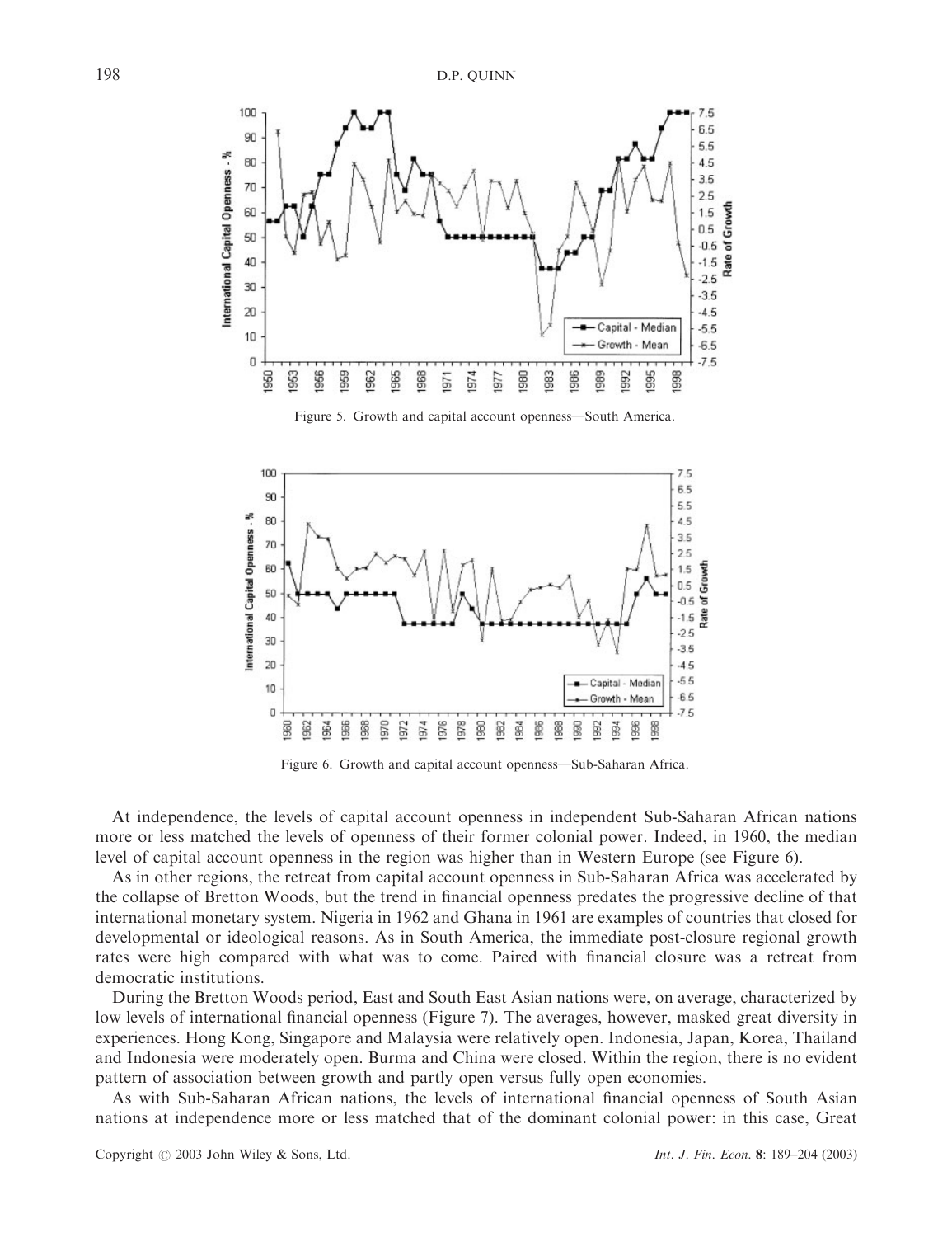

Figure 5. Growth and capital account openness-South America.



Figure 6. Growth and capital account openness-Sub-Saharan Africa.

At independence, the levels of capital account openness in independent Sub-Saharan African nations more or less matched the levels of openness of their former colonial power. Indeed, in 1960, the median level of capital account openness in the region was higher than in Western Europe (see Figure 6).

As in other regions, the retreat from capital account openness in Sub-Saharan Africa was accelerated by the collapse of Bretton Woods, but the trend in financial openness predates the progressive decline of that international monetary system. Nigeria in 1962 and Ghana in 1961 are examples of countries that closed for developmental or ideological reasons. As in South America, the immediate post-closure regional growth rates were high compared with what was to come. Paired with financial closure was a retreat from democratic institutions.

During the Bretton Woods period, East and South East Asian nations were, on average, characterized by low levels of international financial openness (Figure 7). The averages, however, masked great diversity in experiences. Hong Kong, Singapore and Malaysia were relatively open. Indonesia, Japan, Korea, Thailand and Indonesia were moderately open. Burma and China were closed. Within the region, there is no evident pattern of association between growth and partly open versus fully open economies.

As with Sub-Saharan African nations, the levels of international financial openness of South Asian nations at independence more or less matched that of the dominant colonial power: in this case, Great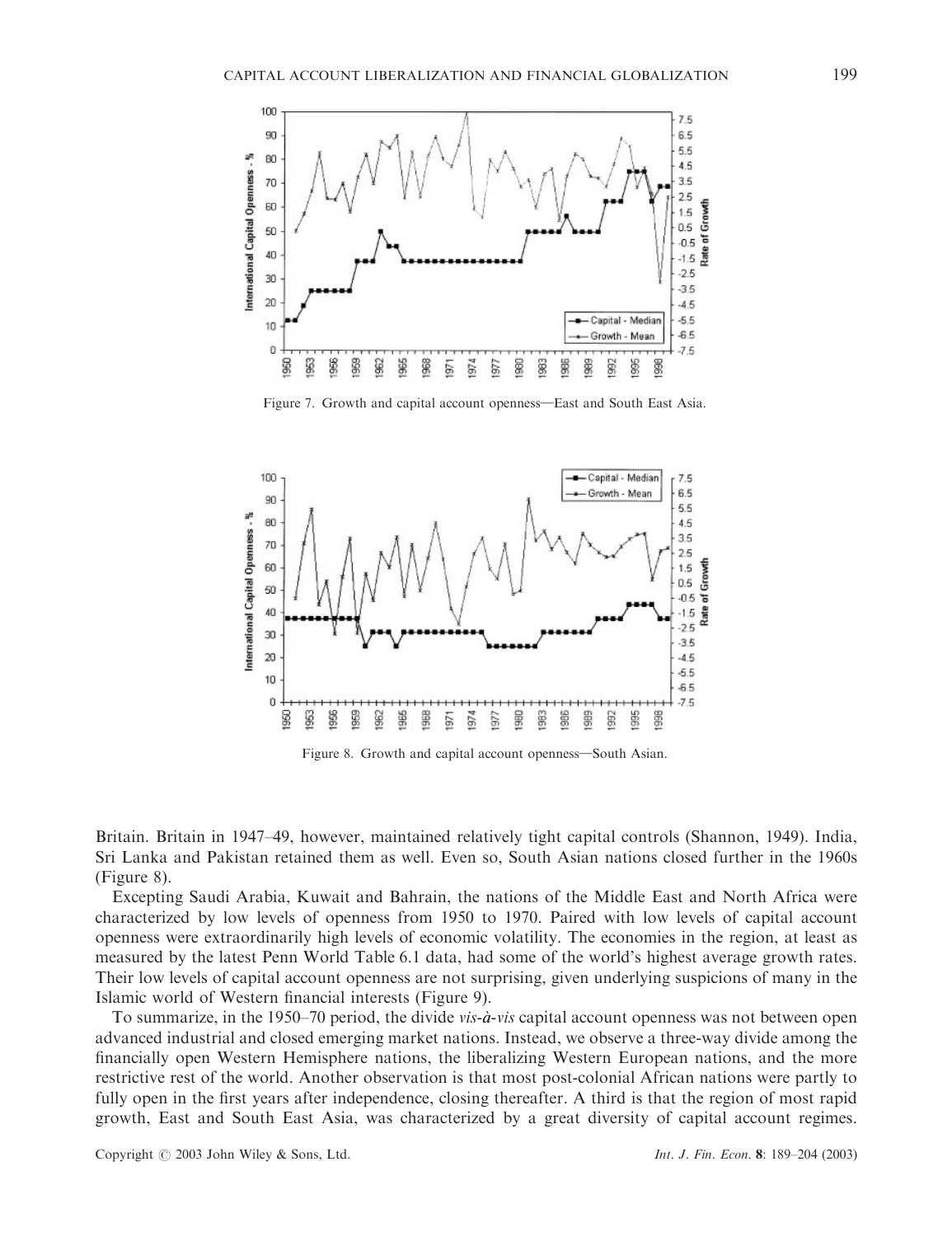

Figure 7. Growth and capital account openness—East and South East Asia.



Figure 8. Growth and capital account openness—South Asian.

Britain. Britain in 1947–49, however, maintained relatively tight capital controls (Shannon, 1949). India, Sri Lanka and Pakistan retained them as well. Even so, South Asian nations closed further in the 1960s (Figure 8).

Excepting Saudi Arabia, Kuwait and Bahrain, the nations of the Middle East and North Africa were characterized by low levels of openness from 1950 to 1970. Paired with low levels of capital account openness were extraordinarily high levels of economic volatility. The economies in the region, at least as measured by the latest Penn World Table 6.1 data, had some of the world's highest average growth rates. Their low levels of capital account openness are not surprising, given underlying suspicions of many in the Islamic world of Western financial interests (Figure 9).

To summarize, in the 1950–70 period, the divide  $vis-\dot{a}-vis$  capital account openness was not between open advanced industrial and closed emerging market nations. Instead, we observe a three-way divide among the financially open Western Hemisphere nations, the liberalizing Western European nations, and the more restrictive rest of the world. Another observation is that most post-colonial African nations were partly to fully open in the first years after independence, closing thereafter. A third is that the region of most rapid growth, East and South East Asia, was characterized by a great diversity of capital account regimes.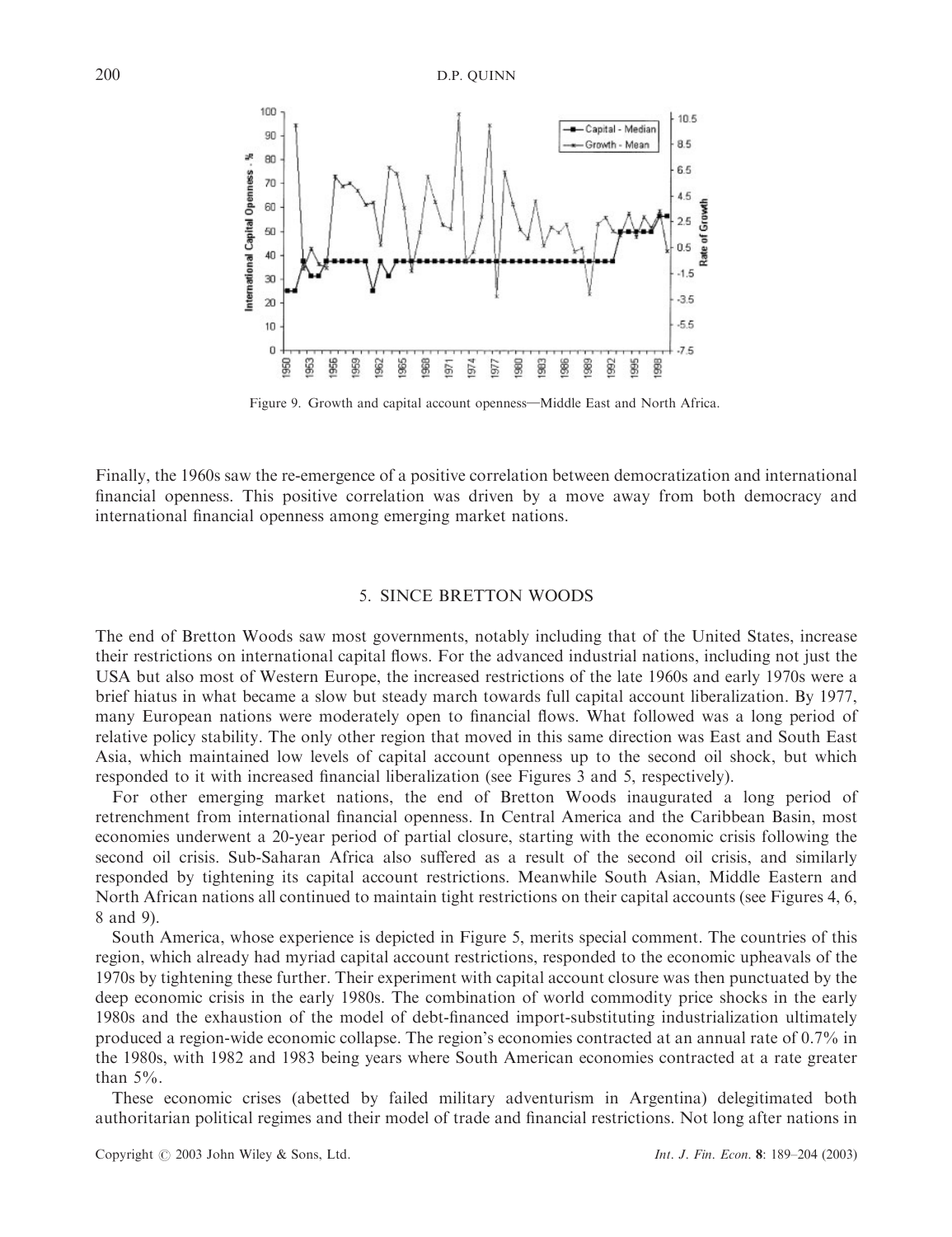

Figure 9. Growth and capital account openness—Middle East and North Africa.

Finally, the 1960s saw the re-emergence of a positive correlation between democratization and international financial openness. This positive correlation was driven by a move away from both democracy and international financial openness among emerging market nations.

# 5. SINCE BRETTON WOODS

The end of Bretton Woods saw most governments, notably including that of the United States, increase their restrictions on international capital flows. For the advanced industrial nations, including not just the USA but also most of Western Europe, the increased restrictions of the late 1960s and early 1970s were a brief hiatus in what became a slow but steady march towards full capital account liberalization. By 1977, many European nations were moderately open to financial flows. What followed was a long period of relative policy stability. The only other region that moved in this same direction was East and South East Asia, which maintained low levels of capital account openness up to the second oil shock, but which responded to it with increased financial liberalization (see Figures 3 and 5, respectively).

For other emerging market nations, the end of Bretton Woods inaugurated a long period of retrenchment from international financial openness. In Central America and the Caribbean Basin, most economies underwent a 20-year period of partial closure, starting with the economic crisis following the second oil crisis. Sub-Saharan Africa also suffered as a result of the second oil crisis, and similarly responded by tightening its capital account restrictions. Meanwhile South Asian, Middle Eastern and North African nations all continued to maintain tight restrictions on their capital accounts (see Figures 4, 6, 8 and 9).

South America, whose experience is depicted in Figure 5, merits special comment. The countries of this region, which already had myriad capital account restrictions, responded to the economic upheavals of the 1970s by tightening these further. Their experiment with capital account closure was then punctuated by the deep economic crisis in the early 1980s. The combination of world commodity price shocks in the early 1980s and the exhaustion of the model of debt-financed import-substituting industrialization ultimately produced a region-wide economic collapse. The region's economies contracted at an annual rate of 0.7% in the 1980s, with 1982 and 1983 being years where South American economies contracted at a rate greater than  $5\%$ .

These economic crises (abetted by failed military adventurism in Argentina) delegitimated both authoritarian political regimes and their model of trade and financial restrictions. Not long after nations in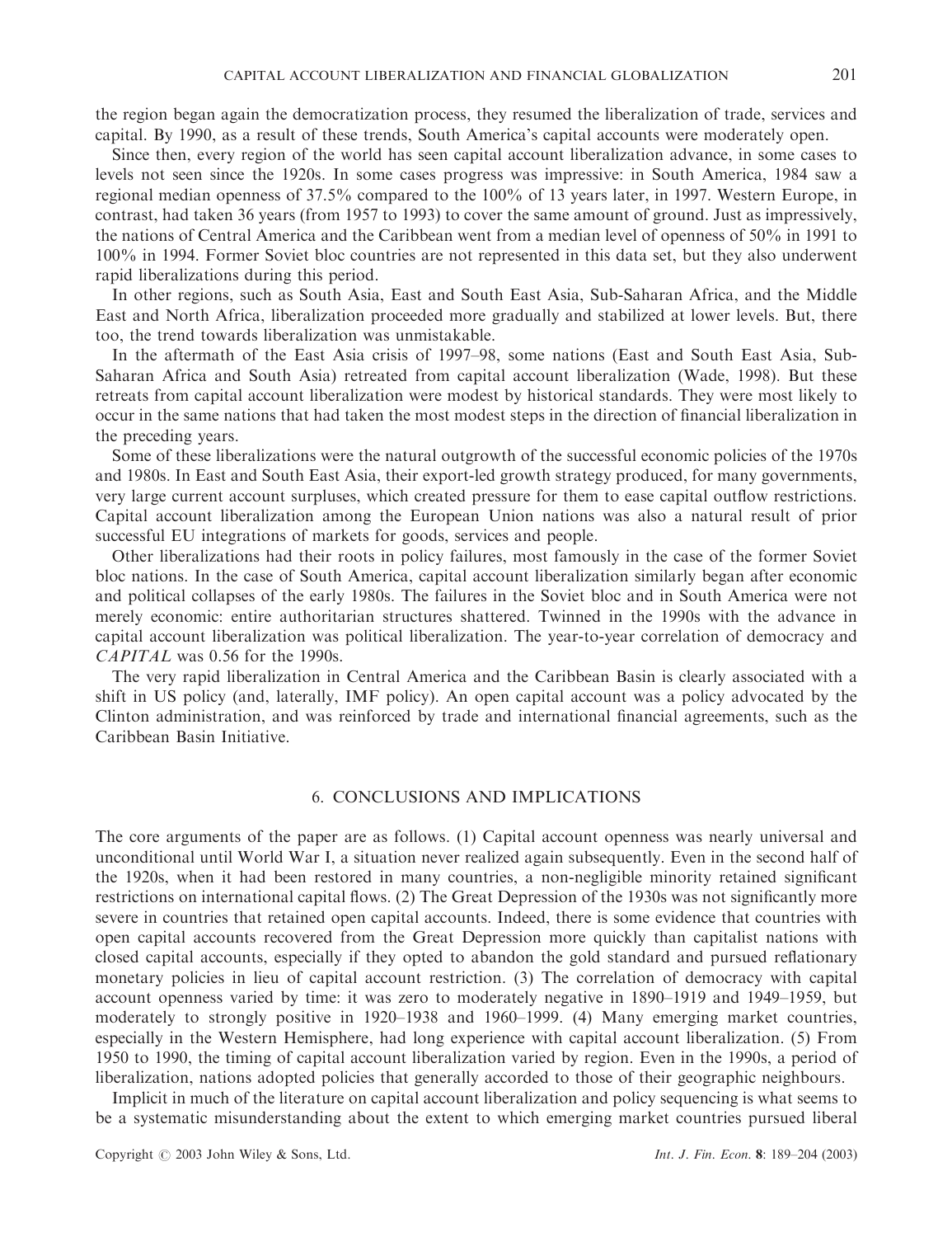the region began again the democratization process, they resumed the liberalization of trade, services and capital. By 1990, as a result of these trends, South America's capital accounts were moderately open.

Since then, every region of the world has seen capital account liberalization advance, in some cases to levels not seen since the 1920s. In some cases progress was impressive: in South America, 1984 saw a regional median openness of 37.5% compared to the 100% of 13 years later, in 1997. Western Europe, in contrast, had taken 36 years (from 1957 to 1993) to cover the same amount of ground. Just as impressively, the nations of Central America and the Caribbean went from a median level of openness of 50% in 1991 to 100% in 1994. Former Soviet bloc countries are not represented in this data set, but they also underwent rapid liberalizations during this period.

In other regions, such as South Asia, East and South East Asia, Sub-Saharan Africa, and the Middle East and North Africa, liberalization proceeded more gradually and stabilized at lower levels. But, there too, the trend towards liberalization was unmistakable.

In the aftermath of the East Asia crisis of 1997–98, some nations (East and South East Asia, Sub-Saharan Africa and South Asia) retreated from capital account liberalization (Wade, 1998). But these retreats from capital account liberalization were modest by historical standards. They were most likely to occur in the same nations that had taken the most modest steps in the direction of financial liberalization in the preceding years.

Some of these liberalizations were the natural outgrowth of the successful economic policies of the 1970s and 1980s. In East and South East Asia, their export-led growth strategy produced, for many governments, very large current account surpluses, which created pressure for them to ease capital outflow restrictions. Capital account liberalization among the European Union nations was also a natural result of prior successful EU integrations of markets for goods, services and people.

Other liberalizations had their roots in policy failures, most famously in the case of the former Soviet bloc nations. In the case of South America, capital account liberalization similarly began after economic and political collapses of the early 1980s. The failures in the Soviet bloc and in South America were not merely economic: entire authoritarian structures shattered. Twinned in the 1990s with the advance in capital account liberalization was political liberalization. The year-to-year correlation of democracy and CAPITAL was 0.56 for the 1990s.

The very rapid liberalization in Central America and the Caribbean Basin is clearly associated with a shift in US policy (and, laterally, IMF policy). An open capital account was a policy advocated by the Clinton administration, and was reinforced by trade and international financial agreements, such as the Caribbean Basin Initiative.

# 6. CONCLUSIONS AND IMPLICATIONS

The core arguments of the paper are as follows. (1) Capital account openness was nearly universal and unconditional until World War I, a situation never realized again subsequently. Even in the second half of the 1920s, when it had been restored in many countries, a non-negligible minority retained significant restrictions on international capital flows. (2) The Great Depression of the 1930s was not significantly more severe in countries that retained open capital accounts. Indeed, there is some evidence that countries with open capital accounts recovered from the Great Depression more quickly than capitalist nations with closed capital accounts, especially if they opted to abandon the gold standard and pursued reflationary monetary policies in lieu of capital account restriction. (3) The correlation of democracy with capital account openness varied by time: it was zero to moderately negative in 1890–1919 and 1949–1959, but moderately to strongly positive in 1920–1938 and 1960–1999. (4) Many emerging market countries, especially in the Western Hemisphere, had long experience with capital account liberalization. (5) From 1950 to 1990, the timing of capital account liberalization varied by region. Even in the 1990s, a period of liberalization, nations adopted policies that generally accorded to those of their geographic neighbours.

Implicit in much of the literature on capital account liberalization and policy sequencing is what seems to be a systematic misunderstanding about the extent to which emerging market countries pursued liberal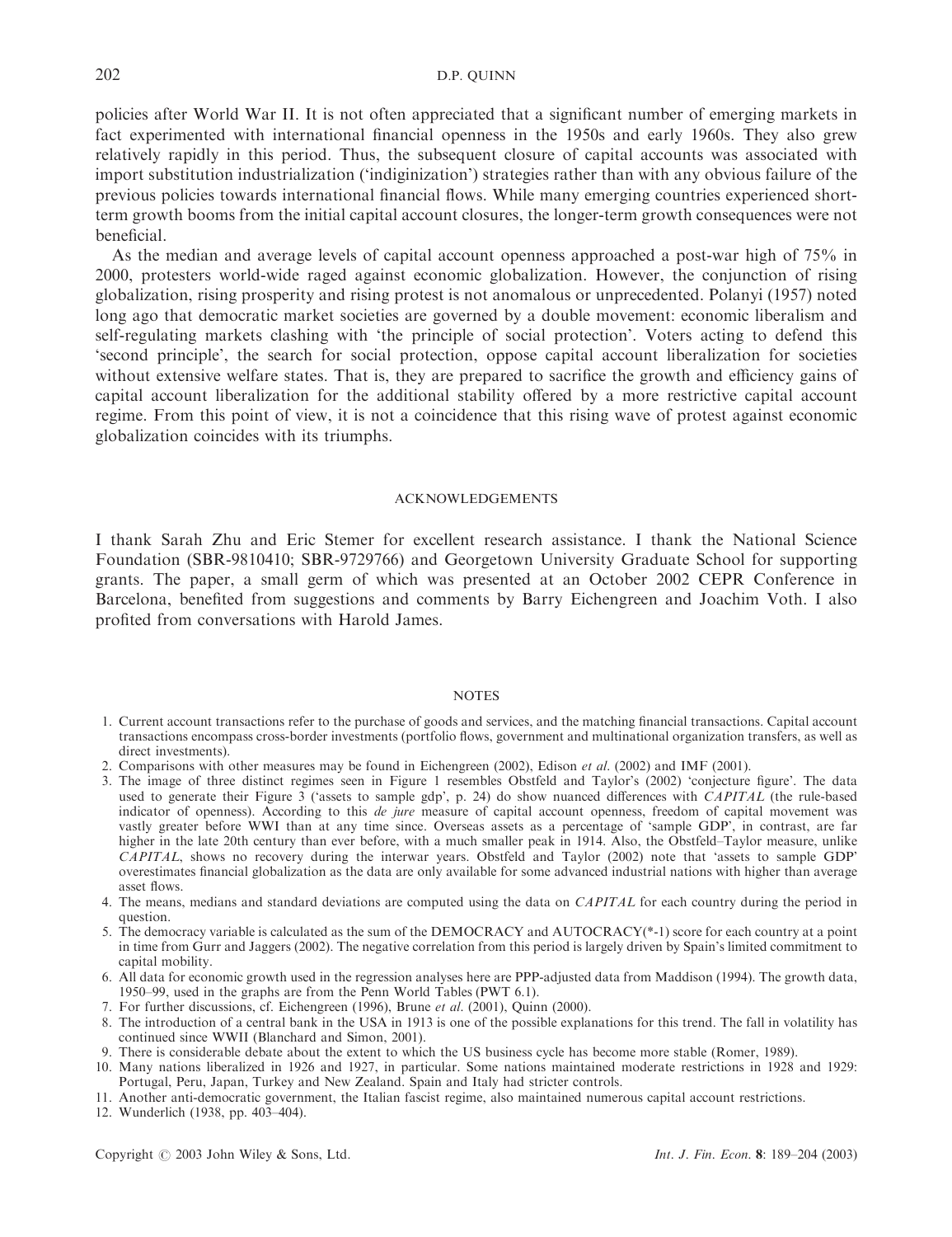policies after World War II. It is not often appreciated that a significant number of emerging markets in fact experimented with international financial openness in the 1950s and early 1960s. They also grew relatively rapidly in this period. Thus, the subsequent closure of capital accounts was associated with import substitution industrialization ('indiginization') strategies rather than with any obvious failure of the previous policies towards international financial flows. While many emerging countries experienced shortterm growth booms from the initial capital account closures, the longer-term growth consequences were not beneficial.

As the median and average levels of capital account openness approached a post-war high of 75% in 2000, protesters world-wide raged against economic globalization. However, the conjunction of rising globalization, rising prosperity and rising protest is not anomalous or unprecedented. Polanyi (1957) noted long ago that democratic market societies are governed by a double movement: economic liberalism and self-regulating markets clashing with 'the principle of social protection'. Voters acting to defend this 'second principle', the search for social protection, oppose capital account liberalization for societies without extensive welfare states. That is, they are prepared to sacrifice the growth and efficiency gains of capital account liberalization for the additional stability offered by a more restrictive capital account regime. From this point of view, it is not a coincidence that this rising wave of protest against economic globalization coincides with its triumphs.

#### ACKNOWLEDGEMENTS

I thank Sarah Zhu and Eric Stemer for excellent research assistance. I thank the National Science Foundation (SBR-9810410; SBR-9729766) and Georgetown University Graduate School for supporting grants. The paper, a small germ of which was presented at an October 2002 CEPR Conference in Barcelona, benefited from suggestions and comments by Barry Eichengreen and Joachim Voth. I also profited from conversations with Harold James.

#### **NOTES**

- 1. Current account transactions refer to the purchase of goods and services, and the matching financial transactions. Capital account transactions encompass cross-border investments (portfolio flows, government and multinational organization transfers, as well as direct investments).
- 2. Comparisons with other measures may be found in Eichengreen (2002), Edison et al. (2002) and IMF (2001).
- 3. The image of three distinct regimes seen in Figure 1 resembles Obstfeld and Taylor's (2002) 'conjecture figure'. The data used to generate their Figure 3 ('assets to sample gdp', p. 24) do show nuanced differences with  $CAPITAL$  (the rule-based indicator of openness). According to this de jure measure of capital account openness, freedom of capital movement was vastly greater before WWI than at any time since. Overseas assets as a percentage of 'sample GDP', in contrast, are far higher in the late 20th century than ever before, with a much smaller peak in 1914. Also, the Obstfeld–Taylor measure, unlike CAPITAL, shows no recovery during the interwar years. Obstfeld and Taylor (2002) note that 'assets to sample GDP' overestimates financial globalization as the data are only available for some advanced industrial nations with higher than average asset flows.
- 4. The means, medians and standard deviations are computed using the data on CAPITAL for each country during the period in question.
- 5. The democracy variable is calculated as the sum of the DEMOCRACY and AUTOCRACY(\*-1) score for each country at a point in time from Gurr and Jaggers (2002). The negative correlation from this period is largely driven by Spain's limited commitment to capital mobility.
- 6. All data for economic growth used in the regression analyses here are PPP-adjusted data from Maddison (1994). The growth data, 1950–99, used in the graphs are from the Penn World Tables (PWT 6.1).
- 7. For further discussions, cf. Eichengreen (1996), Brune et al. (2001), Quinn (2000).
- 8. The introduction of a central bank in the USA in 1913 is one of the possible explanations for this trend. The fall in volatility has continued since WWII (Blanchard and Simon, 2001).
- 9. There is considerable debate about the extent to which the US business cycle has become more stable (Romer, 1989).
- 10. Many nations liberalized in 1926 and 1927, in particular. Some nations maintained moderate restrictions in 1928 and 1929: Portugal, Peru, Japan, Turkey and New Zealand. Spain and Italy had stricter controls.
- 11. Another anti-democratic government, the Italian fascist regime, also maintained numerous capital account restrictions.
- 12. Wunderlich (1938, pp. 403–404).

Copyright  $\odot$  2003 John Wiley & Sons, Ltd. Int. J. Fin. Econ. 8: 189–204 (2003)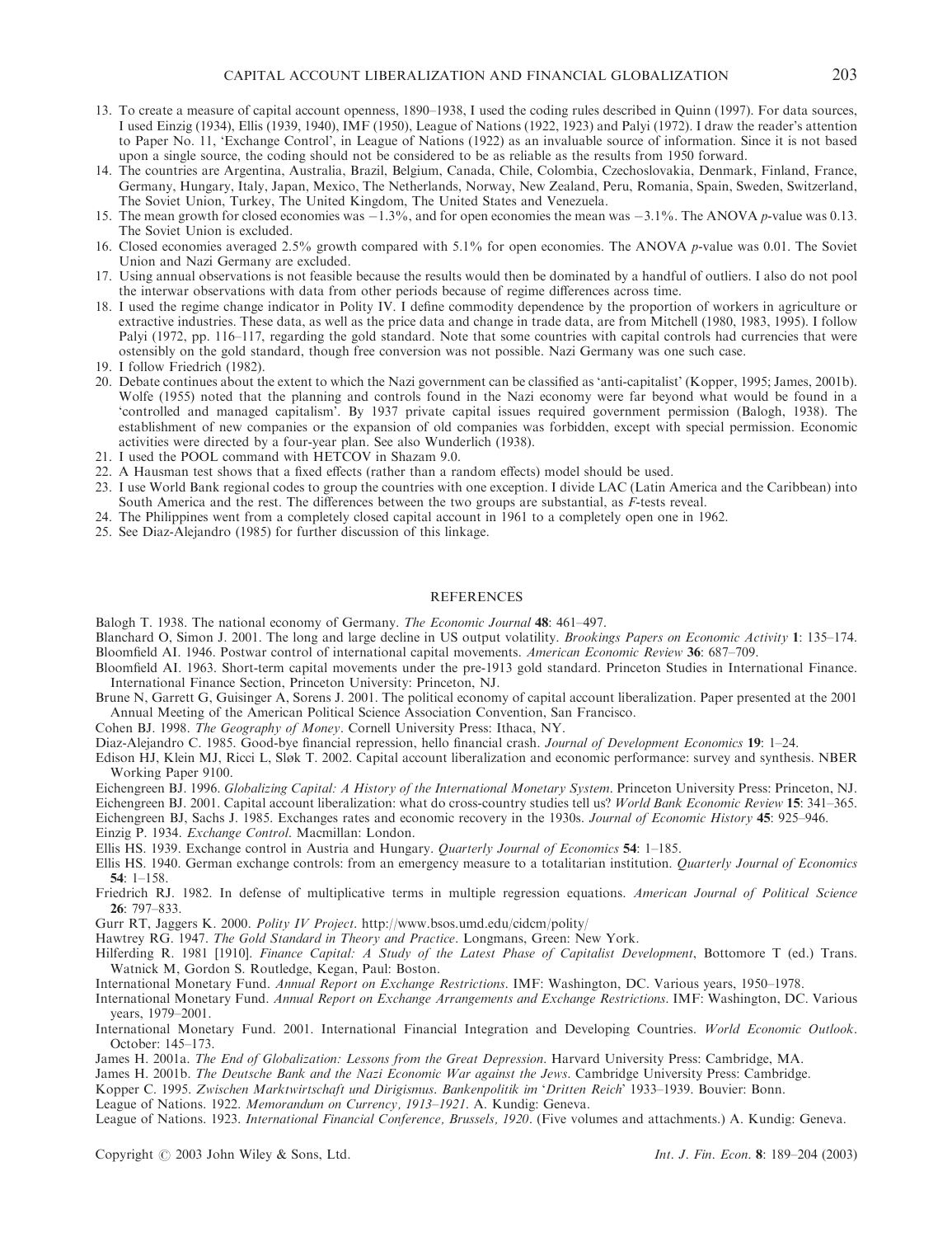- 13. To create a measure of capital account openness, 1890–1938, I used the coding rules described in Quinn (1997). For data sources, I used Einzig (1934), Ellis (1939, 1940), IMF (1950), League of Nations (1922, 1923) and Palyi (1972). I draw the reader's attention to Paper No. 11, 'Exchange Control', in League of Nations (1922) as an invaluable source of information. Since it is not based upon a single source, the coding should not be considered to be as reliable as the results from 1950 forward.
- 14. The countries are Argentina, Australia, Brazil, Belgium, Canada, Chile, Colombia, Czechoslovakia, Denmark, Finland, France, Germany, Hungary, Italy, Japan, Mexico, The Netherlands, Norway, New Zealand, Peru, Romania, Spain, Sweden, Switzerland, The Soviet Union, Turkey, The United Kingdom, The United States and Venezuela.
- 15. The mean growth for closed economies was  $-1.3\%$ , and for open economies the mean was  $-3.1\%$ . The ANOVA p-value was 0.13. The Soviet Union is excluded.
- 16. Closed economies averaged 2.5% growth compared with 5.1% for open economies. The ANOVA p-value was 0.01. The Soviet Union and Nazi Germany are excluded.
- 17. Using annual observations is not feasible because the results would then be dominated by a handful of outliers. I also do not pool the interwar observations with data from other periods because of regime differences across time.
- 18. I used the regime change indicator in Polity IV. I define commodity dependence by the proportion of workers in agriculture or extractive industries. These data, as well as the price data and change in trade data, are from Mitchell (1980, 1983, 1995). I follow Palyi (1972, pp. 116–117, regarding the gold standard. Note that some countries with capital controls had currencies that were ostensibly on the gold standard, though free conversion was not possible. Nazi Germany was one such case.

19. I follow Friedrich (1982).

- 20. Debate continues about the extent to which the Nazi government can be classified as 'anti-capitalist' (Kopper, 1995; James, 2001b). Wolfe (1955) noted that the planning and controls found in the Nazi economy were far beyond what would be found in a 'controlled and managed capitalism'. By 1937 private capital issues required government permission (Balogh, 1938). The establishment of new companies or the expansion of old companies was forbidden, except with special permission. Economic activities were directed by a four-year plan. See also Wunderlich (1938).
- 21. I used the POOL command with HETCOV in Shazam 9.0.
- 22. A Hausman test shows that a fixed effects (rather than a random effects) model should be used.
- 23. I use World Bank regional codes to group the countries with one exception. I divide LAC (Latin America and the Caribbean) into South America and the rest. The differences between the two groups are substantial, as F-tests reveal.
- 24. The Philippines went from a completely closed capital account in 1961 to a completely open one in 1962.
- 25. See Diaz-Alejandro (1985) for further discussion of this linkage.

#### REFERENCES

Balogh T. 1938. The national economy of Germany. The Economic Journal 48: 461–497.

- Blanchard O, Simon J. 2001. The long and large decline in US output volatility. Brookings Papers on Economic Activity 1: 135–174. Bloomfield AI. 1946. Postwar control of international capital movements. American Economic Review 36: 687–709.
- Bloomfield AI. 1963. Short-term capital movements under the pre-1913 gold standard. Princeton Studies in International Finance. International Finance Section, Princeton University: Princeton, NJ.
- Brune N, Garrett G, Guisinger A, Sorens J. 2001. The political economy of capital account liberalization. Paper presented at the 2001 Annual Meeting of the American Political Science Association Convention, San Francisco.

Cohen BJ. 1998. The Geography of Money. Cornell University Press: Ithaca, NY.

Diaz-Alejandro C. 1985. Good-bye financial repression, hello financial crash. Journal of Development Economics 19: 1–24.

Edison HJ, Klein MJ, Ricci L, Sløk T. 2002. Capital account liberalization and economic performance: survey and synthesis. NBER Working Paper 9100.

Eichengreen BJ. 1996. Globalizing Capital: A History of the International Monetary System. Princeton University Press: Princeton, NJ.

Eichengreen BJ. 2001. Capital account liberalization: what do cross-country studies tell us? World Bank Economic Review 15: 341–365.

Eichengreen BJ, Sachs J. 1985. Exchanges rates and economic recovery in the 1930s. Journal of Economic History 45: 925–946.

Einzig P. 1934. Exchange Control. Macmillan: London.

- Ellis HS. 1939. Exchange control in Austria and Hungary. Quarterly Journal of Economics 54: 1–185.
- Ellis HS. 1940. German exchange controls: from an emergency measure to a totalitarian institution. Quarterly Journal of Economics 54: 1–158.
- Friedrich RJ. 1982. In defense of multiplicative terms in multiple regression equations. American Journal of Political Science 26: 797–833.
- Gurr RT, Jaggers K. 2000. Polity IV Project. http://www.bsos.umd.edu/cidcm/polity/

Hawtrey RG. 1947. The Gold Standard in Theory and Practice. Longmans, Green: New York.

Hilferding R. 1981 [1910]. Finance Capital: A Study of the Latest Phase of Capitalist Development, Bottomore T (ed.) Trans. Watnick M, Gordon S. Routledge, Kegan, Paul: Boston.

International Monetary Fund. Annual Report on Exchange Restrictions. IMF: Washington, DC. Various years, 1950–1978.

- International Monetary Fund. Annual Report on Exchange Arrangements and Exchange Restrictions. IMF: Washington, DC. Various years, 1979–2001.
- International Monetary Fund. 2001. International Financial Integration and Developing Countries. World Economic Outlook. October: 145–173.
- James H. 2001a. The End of Globalization: Lessons from the Great Depression. Harvard University Press: Cambridge, MA.

James H. 2001b. The Deutsche Bank and the Nazi Economic War against the Jews. Cambridge University Press: Cambridge.

Kopper C. 1995. Zwischen Marktwirtschaft und Dirigismus. Bankenpolitik im 'Dritten Reich' 1933–1939. Bouvier: Bonn.

League of Nations. 1922. Memorandum on Currency, 1913–1921. A. Kundig: Geneva.

League of Nations. 1923. International Financial Conference, Brussels, 1920. (Five volumes and attachments.) A. Kundig: Geneva.

Copyright  $\odot$  2003 John Wiley & Sons, Ltd. Int. J. Fin. Econ. 8: 189–204 (2003)